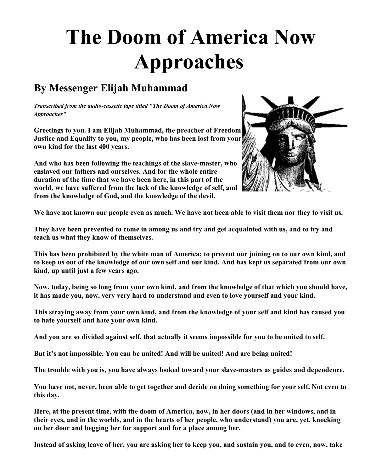## **The Doom of America Now Approaches**

## **By Messenger Elijah Muhammad**

*Transcribed from the audio-cassette tape titled "The Doom of America Now Approaches"*

**Greetings to you. I am Elijah Muhammad, the preacher of Freedom Justice and Equality to you, my people, who has been lost from your own kind for the last 400 years.** 

**And who has been following the teachings of the slave-master, who enslaved our fathers and ourselves. And for the whole entire duration of the time that we have been here, in this part of the world, we have suffered from the lack of the knowledge of self, and from the knowledge of God, and the knowledge of the devil.**



**We have not known our people even as much. We have not been able to visit them nor they to visit us.** 

**They have been prevented to come in among us and try and get acquainted with us, and to try and teach us what they know of themselves.** 

**This has been prohibited by the white man of America; to prevent our joining on to our own kind, and to keep us out of the knowledge of our own self and our kind. And has kept us separated from our own kind, up until just a few years ago.** 

**Now, today, being so long from your own kind, and from the knowledge of that which you should have, it has made you, now, very very hard to understand and even to love yourself and your kind.**

**This straying away from your own kind, and from the knowledge of your self and kind has caused you to hate yourself and hate your own kind.** 

**And you are so divided against self, that actually it seems impossible for you to be united to self.** 

**But it's not impossible. You can be united! And will be united! And are being united!** 

**The trouble with you is, you have always looked toward your slave-masters as guides and dependence.** 

**You have not, never, been able to get together and decide on doing something for your self. Not even to this day.**

**Here, at the present time, with the doom of America, now, in her doors (and in her windows, and in their eyes, and in the worlds, and in the hearts of her people, who understand) you are, yet, knocking on her door and begging her for support and for a place among her.**

**Instead of asking leave of her, you are asking her to keep you, and sustain you, and to even, now, take**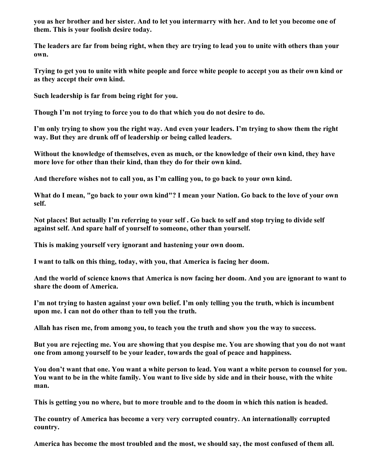**you as her brother and her sister. And to let you intermarry with her. And to let you become one of them. This is your foolish desire today.**

**The leaders are far from being right, when they are trying to lead you to unite with others than your own.** 

**Trying to get you to unite with white people and force white people to accept you as their own kind or as they accept their own kind.**

**Such leadership is far from being right for you.** 

**Though I'm not trying to force you to do that which you do not desire to do.**

**I'm only trying to show you the right way. And even your leaders. I'm trying to show them the right way. But they are drunk off of leadership or being called leaders.**

**Without the knowledge of themselves, even as much, or the knowledge of their own kind, they have more love for other than their kind, than they do for their own kind.**

**And therefore wishes not to call you, as I'm calling you, to go back to your own kind.**

**What do I mean, "go back to your own kind"? I mean your Nation. Go back to the love of your own self.** 

**Not places! But actually I'm referring to your self . Go back to self and stop trying to divide self against self. And spare half of yourself to someone, other than yourself.**

**This is making yourself very ignorant and hastening your own doom.**

**I want to talk on this thing, today, with you, that America is facing her doom.** 

**And the world of science knows that America is now facing her doom. And you are ignorant to want to share the doom of America.**

**I'm not trying to hasten against your own belief. I'm only telling you the truth, which is incumbent upon me. I can not do other than to tell you the truth.** 

**Allah has risen me, from among you, to teach you the truth and show you the way to success.** 

**But you are rejecting me. You are showing that you despise me. You are showing that you do not want one from among yourself to be your leader, towards the goal of peace and happiness.**

**You don't want that one. You want a white person to lead. You want a white person to counsel for you. You want to be in the white family. You want to live side by side and in their house, with the white man.** 

**This is getting you no where, but to more trouble and to the doom in which this nation is headed.**

**The country of America has become a very very corrupted country. An internationally corrupted country.** 

**America has become the most troubled and the most, we should say, the most confused of them all.**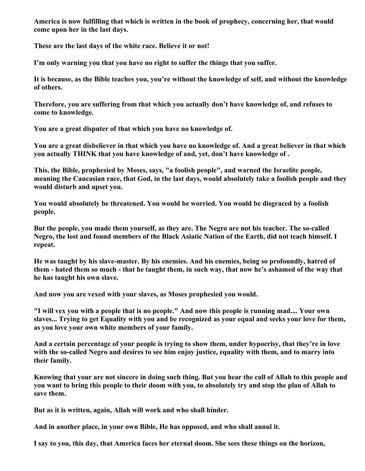**America is now fulfilling that which is written in the book of prophecy, concerning her, that would come upon her in the last days.**

**These are the last days of the white race. Believe it or not!**

**I'm only warning you that you have no right to suffer the things that you suffer.** 

**It is because, as the Bible teaches you, you're without the knowledge of self, and without the knowledge of others.**

**Therefore, you are suffering from that which you actually don't have knowledge of, and refuses to come to knowledge.**

**You are a great disputer of that which you have no knowledge of.** 

**You are a great disbeliever in that which you have no knowledge of. And a great believer in that which you actually THINK that you have knowledge of and, yet, don't have knowledge of .** 

**This, the Bible, prophesied by Moses, says, "a foolish people", and warned the Israelite people, meaning the Caucasian race, that God, in the last days, would absolutely take a foolish people and they would disturb and upset you.** 

**You would absolutely be threatened. You would be worried. You would be disgraced by a foolish people.** 

**But the people, you made them yourself, as they are. The Negro are not his teacher. The so-called Negro, the lost and found members of the Black Asiatic Nation of the Earth, did not teach himself. I repeat.** 

**He was taught by his slave-master. By his enemies. And his enemies, being so profoundly, hatred of them - hated them so much - that he taught them, in such way, that now he's ashamed of the way that he has taught his own slave.** 

**And now you are vexed with your slaves, as Moses prophesied you would.** 

**"I will vex you with a people that is no people." And now this people is running mad.... Your own slaves... Trying to get Equality with you and be recognized as your equal and seeks your love for them, as you love your own white members of your family.** 

**And a certain percentage of your people is trying to show them, under hypocrisy, that they're in love with the so-called Negro and desires to see him enjoy justice, equality with them, and to marry into their family.** 

**Knowing that your are not sincere in doing such thing. But you hear the call of Allah to this people and you want to bring this people to their doom with you, to absolutely try and stop the plan of Allah to save them.** 

**But as it is written, again, Allah will work and who shall hinder.** 

**And in another place, in your own Bible, He has opposed, and who shall annul it.** 

**I say to you, this day, that America faces her eternal doom. She sees these things on the horizon,**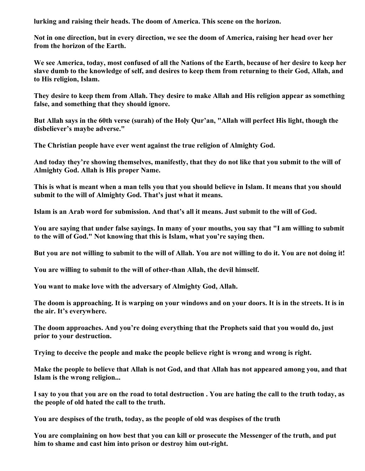**lurking and raising their heads. The doom of America. This scene on the horizon.**

**Not in one direction, but in every direction, we see the doom of America, raising her head over her from the horizon of the Earth.** 

**We see America, today, most confused of all the Nations of the Earth, because of her desire to keep her slave dumb to the knowledge of self, and desires to keep them from returning to their God, Allah, and to His religion, Islam.** 

**They desire to keep them from Allah. They desire to make Allah and His religion appear as something false, and something that they should ignore.** 

**But Allah says in the 60th verse (surah) of the Holy Qur'an, "Allah will perfect His light, though the disbeliever's maybe adverse."** 

**The Christian people have ever went against the true religion of Almighty God.** 

**And today they're showing themselves, manifestly, that they do not like that you submit to the will of Almighty God. Allah is His proper Name.** 

**This is what is meant when a man tells you that you should believe in Islam. It means that you should submit to the will of Almighty God. That's just what it means.**

**Islam is an Arab word for submission. And that's all it means. Just submit to the will of God.** 

**You are saying that under false sayings. In many of your mouths, you say that "I am willing to submit to the will of God." Not knowing that this is Islam, what you're saying then.** 

**But you are not willing to submit to the will of Allah. You are not willing to do it. You are not doing it!** 

**You are willing to submit to the will of other-than Allah, the devil himself.** 

**You want to make love with the adversary of Almighty God, Allah.**

**The doom is approaching. It is warping on your windows and on your doors. It is in the streets. It is in the air. It's everywhere.**

**The doom approaches. And you're doing everything that the Prophets said that you would do, just prior to your destruction.**

**Trying to deceive the people and make the people believe right is wrong and wrong is right.**

**Make the people to believe that Allah is not God, and that Allah has not appeared among you, and that Islam is the wrong religion...** 

**I say to you that you are on the road to total destruction . You are hating the call to the truth today, as the people of old hated the call to the truth.** 

**You are despises of the truth, today, as the people of old was despises of the truth** 

**You are complaining on how best that you can kill or prosecute the Messenger of the truth, and put him to shame and cast him into prison or destroy him out-right.**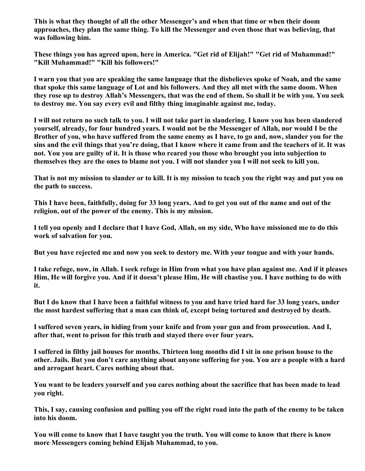**This is what they thought of all the other Messenger's and when that time or when their doom approaches, they plan the same thing. To kill the Messenger and even those that was believing, that was following him.** 

**These things you has agreed upon, here in America. "Get rid of Elijah!" "Get rid of Muhammad!" "Kill Muhammad!" "Kill his followers!"**

**I warn you that you are speaking the same language that the disbelieves spoke of Noah, and the same that spoke this same language of Lot and his followers. And they all met with the same doom. When they rose up to destroy Allah's Messengers, that was the end of them. So shall it be with you. You seek to destroy me. You say every evil and filthy thing imaginable against me, today.** 

**I will not return no such talk to you. I will not take part in slandering. I know you has been slandered yourself, already, for four hundred years. I would not be the Messenger of Allah, nor would I be the Brother of you, who have suffered from the same enemy as I have, to go and, now, slander you for the sins and the evil things that you're doing, that I know where it came from and the teachers of it. It was not. You you are guilty of it. It is those who reared you those who brought you into subjection to themselves they are the ones to blame not you. I will not slander you I will not seek to kill you.** 

**That is not my mission to slander or to kill. It is my mission to teach you the right way and put you on the path to success.** 

**This I have been, faithfully, doing for 33 long years. And to get you out of the name and out of the religion, out of the power of the enemy. This is my mission.**

**I tell you openly and I declare that I have God, Allah, on my side, Who have missioned me to do this work of salvation for you.** 

**But you have rejected me and now you seek to destory me. With your tongue and with your hands.** 

**I take refuge, now, in Allah. I seek refuge in Him from what you have plan against me. And if it pleases Him, He will forgive you. And if it doesn't please Him, He will chastise you. I have nothing to do with it.** 

**But I do know that I have been a faithful witness to you and have tried hard for 33 long years, under the most hardest suffering that a man can think of, except being tortured and destroyed by death.** 

**I suffered seven years, in hiding from your knife and from your gun and from prosecution. And I, after that, went to prison for this truth and stayed there over four years.** 

**I suffered in filthy jail houses for months. Thirteen long months did I sit in one prison house to the other. Jails. But you don't care anything about anyone suffering for you. You are a people with a hard and arrogant heart. Cares nothing about that.**

**You want to be leaders yourself and you cares nothing about the sacrifice that has been made to lead you right.** 

**This, I say, causing confusion and pulling you off the right road into the path of the enemy to be taken into his doom.** 

**You will come to know that I have taught you the truth. You will come to know that there is know more Messengers coming behind Elijah Muhammad, to you.**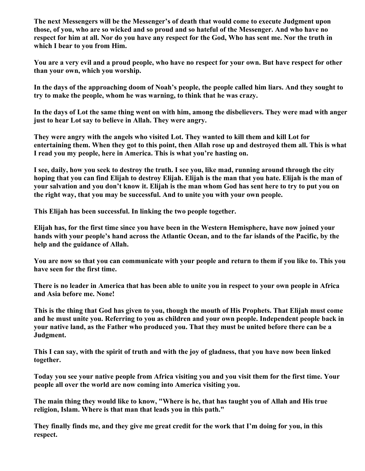**The next Messengers will be the Messenger's of death that would come to execute Judgment upon those, of you, who are so wicked and so proud and so hateful of the Messenger. And who have no respect for him at all. Nor do you have any respect for the God, Who has sent me. Nor the truth in which I bear to you from Him.** 

**You are a very evil and a proud people, who have no respect for your own. But have respect for other than your own, which you worship.** 

**In the days of the approaching doom of Noah's people, the people called him liars. And they sought to try to make the people, whom he was warning, to think that he was crazy.** 

**In the days of Lot the same thing went on with him, among the disbelievers. They were mad with anger just to hear Lot say to believe in Allah. They were angry.** 

**They were angry with the angels who visited Lot. They wanted to kill them and kill Lot for entertaining them. When they got to this point, then Allah rose up and destroyed them all. This is what I read you my people, here in America. This is what you're hasting on.** 

**I see, daily, how you seek to destroy the truth. I see you, like mad, running around through the city hoping that you can find Elijah to destroy Elijah. Elijah is the man that you hate. Elijah is the man of your salvation and you don't know it. Elijah is the man whom God has sent here to try to put you on the right way, that you may be successful. And to unite you with your own people.** 

**This Elijah has been successful. In linking the two people together.** 

**Elijah has, for the first time since you have been in the Western Hemisphere, have now joined your hands with your people's hand across the Atlantic Ocean, and to the far islands of the Pacific, by the help and the guidance of Allah.** 

**You are now so that you can communicate with your people and return to them if you like to. This you have seen for the first time.**

**There is no leader in America that has been able to unite you in respect to your own people in Africa and Asia before me. None!**

**This is the thing that God has given to you, though the mouth of His Prophets. That Elijah must come and he must unite you. Referring to you as children and your own people. Independent people back in your native land, as the Father who produced you. That they must be united before there can be a Judgment.**

**This I can say, with the spirit of truth and with the joy of gladness, that you have now been linked together.** 

**Today you see your native people from Africa visiting you and you visit them for the first time. Your people all over the world are now coming into America visiting you.** 

**The main thing they would like to know, "Where is he, that has taught you of Allah and His true religion, Islam. Where is that man that leads you in this path."**

**They finally finds me, and they give me great credit for the work that I'm doing for you, in this respect.**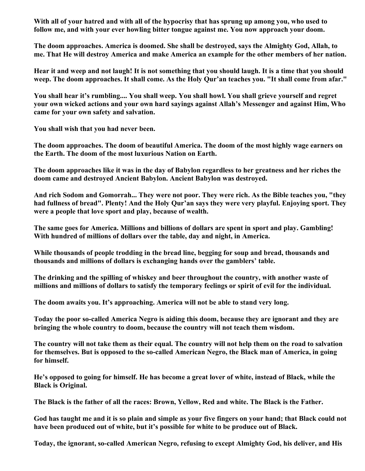**With all of your hatred and with all of the hypocrisy that has sprung up among you, who used to follow me, and with your ever howling bitter tongue against me. You now approach your doom.**

**The doom approaches. America is doomed. She shall be destroyed, says the Almighty God, Allah, to me. That He will destroy America and make America an example for the other members of her nation.**

**Hear it and weep and not laugh! It is not something that you should laugh. It is a time that you should weep. The doom approaches. It shall come. As the Holy Qur'an teaches you. "It shall come from afar."**

**You shall hear it's rumbling.... You shall weep. You shall howl. You shall grieve yourself and regret your own wicked actions and your own hard sayings against Allah's Messenger and against Him, Who came for your own safety and salvation.** 

**You shall wish that you had never been.**

**The doom approaches. The doom of beautiful America. The doom of the most highly wage earners on the Earth. The doom of the most luxurious Nation on Earth.** 

**The doom approaches like it was in the day of Babylon regardless to her greatness and her riches the doom came and destroyed Ancient Babylon. Ancient Babylon was destroyed.** 

**And rich Sodom and Gomorrah... They were not poor. They were rich. As the Bible teaches you, "they had fullness of bread". Plenty! And the Holy Qur'an says they were very playful. Enjoying sport. They were a people that love sport and play, because of wealth.** 

**The same goes for America. Millions and billions of dollars are spent in sport and play. Gambling! With hundred of millions of dollars over the table, day and night, in America.**

**While thousands of people trodding in the bread line, begging for soup and bread, thousands and thousands and millions of dollars is exchanging hands over the gamblers' table.**

**The drinking and the spilling of whiskey and beer throughout the country, with another waste of millions and millions of dollars to satisfy the temporary feelings or spirit of evil for the individual.**

**The doom awaits you. It's approaching. America will not be able to stand very long.** 

**Today the poor so-called America Negro is aiding this doom, because they are ignorant and they are bringing the whole country to doom, because the country will not teach them wisdom.**

**The country will not take them as their equal. The country will not help them on the road to salvation for themselves. But is opposed to the so-called American Negro, the Black man of America, in going for himself.** 

**He's opposed to going for himself. He has become a great lover of white, instead of Black, while the Black is Original.**

**The Black is the father of all the races: Brown, Yellow, Red and white. The Black is the Father.** 

**God has taught me and it is so plain and simple as your five fingers on your hand; that Black could not have been produced out of white, but it's possible for white to be produce out of Black.** 

**Today, the ignorant, so-called American Negro, refusing to except Almighty God, his deliver, and His**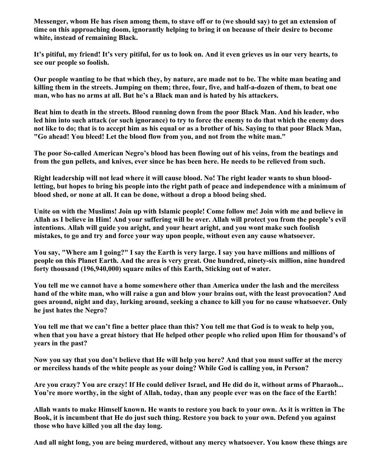**Messenger, whom He has risen among them, to stave off or to (we should say) to get an extension of time on this approaching doom, ignorantly helping to bring it on because of their desire to become white, instead of remaining Black.** 

**It's pitiful, my friend! It's very pitiful, for us to look on. And it even grieves us in our very hearts, to see our people so foolish.** 

**Our people wanting to be that which they, by nature, are made not to be. The white man beating and killing them in the streets. Jumping on them; three, four, five, and half-a-dozen of them, to beat one man, who has no arms at all. But he's a Black man and is hated by his attackers.** 

**Beat him to death in the streets. Blood running down from the poor Black Man. And his leader, who led him into such attack (or such ignorance) to try to force the enemy to do that which the enemy does not like to do; that is to accept him as his equal or as a brother of his. Saying to that poor Black Man, "Go ahead! You bleed! Let the blood flow from you, and not from the white man."**

**The poor So-called American Negro's blood has been flowing out of his veins, from the beatings and from the gun pellets, and knives, ever since he has been here. He needs to be relieved from such.** 

**Right leadership will not lead where it will cause blood. No! The right leader wants to shun bloodletting, but hopes to bring his people into the right path of peace and independence with a minimum of blood shed, or none at all. It can be done, without a drop a blood being shed.**

**Unite on with the Muslims! Join up with Islamic people! Come follow me! Join with me and believe in Allah as I believe in Him! And your suffering will be over. Allah will protect you from the people's evil intentions. Allah will guide you aright, and your heart aright, and you wont make such foolish mistakes, to go and try and force your way upon people, without even any cause whatsoever.** 

**You say, "Where am I going?" I say the Earth is very large. I say you have millions and millions of people on this Planet Earth. And the area is very great. One hundred, ninety-six million, nine hundred forty thousand (196,940,000) square miles of this Earth, Sticking out of water.** 

**You tell me we cannot have a home somewhere other than America under the lash and the merciless hand of the white man, who will raise a gun and blow your brains out, with the least provocation? And goes around, night and day, lurking around, seeking a chance to kill you for no cause whatsoever. Only he just hates the Negro?**

**You tell me that we can't fine a better place than this? You tell me that God is to weak to help you, when that you have a great history that He helped other people who relied upon Him for thousand's of years in the past?**

**Now you say that you don't believe that He will help you here? And that you must suffer at the mercy or merciless hands of the white people as your doing? While God is calling you, in Person?**

**Are you crazy? You are crazy! If He could deliver Israel, and He did do it, without arms of Pharaoh... You're more worthy, in the sight of Allah, today, than any people ever was on the face of the Earth!**

**Allah wants to make Himself known. He wants to restore you back to your own. As it is written in The Book, it is incumbent that He do just such thing. Restore you back to your own. Defend you against those who have killed you all the day long.** 

**And all night long, you are being murdered, without any mercy whatsoever. You know these things are**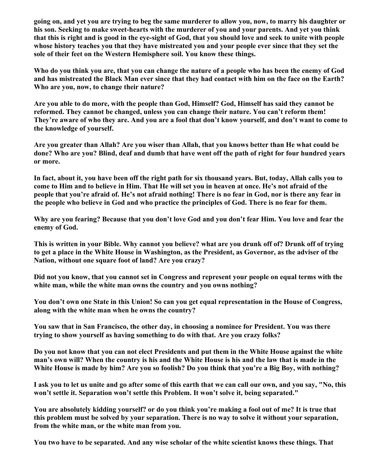**going on, and yet you are trying to beg the same murderer to allow you, now, to marry his daughter or his son. Seeking to make sweet-hearts with the murderer of you and your parents. And yet you think that this is right and is good in the eye-sight of God, that you should love and seek to unite with people whose history teaches you that they have mistreated you and your people ever since that they set the sole of their feet on the Western Hemisphere soil. You know these things.** 

**Who do you think you are, that you can change the nature of a people who has been the enemy of God and has mistreated the Black Man ever since that they had contact with him on the face on the Earth? Who are you, now, to change their nature?** 

**Are you able to do more, with the people than God, Himself? God, Himself has said they cannot be reformed. They cannot be changed, unless you can change their nature. You can't reform them! They're aware of who they are. And you are a fool that don't know yourself, and don't want to come to the knowledge of yourself.** 

**Are you greater than Allah? Are you wiser than Allah, that you knows better than He what could be done? Who are you? Blind, deaf and dumb that have went off the path of right for four hundred years or more.**

**In fact, about it, you have been off the right path for six thousand years. But, today, Allah calls you to come to Him and to believe in Him. That He will set you in heaven at once. He's not afraid of the people that you're afraid of. He's not afraid nothing! There is no fear in God, nor is there any fear in the people who believe in God and who practice the principles of God. There is no fear for them.** 

**Why are you fearing? Because that you don't love God and you don't fear Him. You love and fear the enemy of God.** 

**This is written in your Bible. Why cannot you believe? what are you drunk off of? Drunk off of trying to get a place in the White House in Washington, as the President, as Governor, as the adviser of the Nation, without one square foot of land? Are you crazy?** 

**Did not you know, that you cannot set in Congress and represent your people on equal terms with the white man, while the white man owns the country and you owns nothing?**

**You don't own one State in this Union! So can you get equal representation in the House of Congress, along with the white man when he owns the country?**

**You saw that in San Francisco, the other day, in choosing a nominee for President. You was there trying to show yourself as having something to do with that. Are you crazy folks?** 

**Do you not know that you can not elect Presidents and put them in the White House against the white man's own will? When the country is his and the White House is his and the law that is made in the White House is made by him? Are you so foolish? Do you think that you're a Big Boy, with nothing?**

**I ask you to let us unite and go after some of this earth that we can call our own, and you say, "No, this won't settle it. Separation won't settle this Problem. It won't solve it, being separated."** 

**You are absolutely kidding yourself? or do you think you're making a fool out of me? It is true that this problem must be solved by your separation. There is no way to solve it without your separation, from the white man, or the white man from you.** 

**You two have to be separated. And any wise scholar of the white scientist knows these things. That**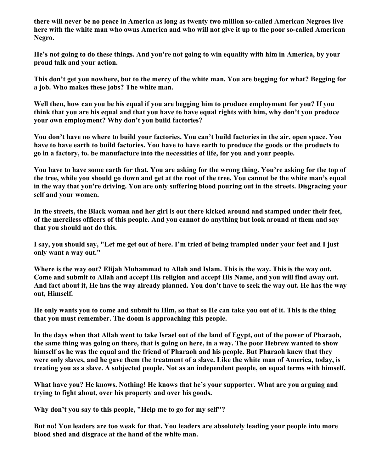**there will never be no peace in America as long as twenty two million so-called American Negroes live here with the white man who owns America and who will not give it up to the poor so-called American Negro.** 

**He's not going to do these things. And you're not going to win equality with him in America, by your proud talk and your action.** 

**This don't get you nowhere, but to the mercy of the white man. You are begging for what? Begging for a job. Who makes these jobs? The white man.** 

**Well then, how can you be his equal if you are begging him to produce employment for you? If you think that you are his equal and that you have to have equal rights with him, why don't you produce your own employment? Why don't you build factories?**

**You don't have no where to build your factories. You can't build factories in the air, open space. You have to have earth to build factories. You have to have earth to produce the goods or the products to go in a factory, to. be manufacture into the necessities of life, for you and your people.** 

**You have to have some earth for that. You are asking for the wrong thing. You're asking for the top of the tree, while you should go down and get at the root of the tree. You cannot be the white man's equal in the way that you're driving. You are only suffering blood pouring out in the streets. Disgracing your self and your women.** 

**In the streets, the Black woman and her girl is out there kicked around and stamped under their feet, of the merciless officers of this people. And you cannot do anything but look around at them and say that you should not do this.**

**I say, you should say, "Let me get out of here. I'm tried of being trampled under your feet and I just only want a way out."**

**Where is the way out? Elijah Muhammad to Allah and Islam. This is the way. This is the way out. Come and submit to Allah and accept His religion and accept His Name, and you will find away out. And fact about it, He has the way already planned. You don't have to seek the way out. He has the way out, Himself.**

**He only wants you to come and submit to Him, so that so He can take you out of it. This is the thing that you must remember. The doom is approaching this people.** 

**In the days when that Allah went to take Israel out of the land of Egypt, out of the power of Pharaoh, the same thing was going on there, that is going on here, in a way. The poor Hebrew wanted to show himself as he was the equal and the friend of Pharaoh and his people. But Pharaoh knew that they were only slaves, and he gave them the treatment of a slave. Like the white man of America, today, is treating you as a slave. A subjected people. Not as an independent people, on equal terms with himself.**

**What have you? He knows. Nothing! He knows that he's your supporter. What are you arguing and trying to fight about, over his property and over his goods.** 

**Why don't you say to this people, "Help me to go for my self"?** 

**But no! You leaders are too weak for that. You leaders are absolutely leading your people into more blood shed and disgrace at the hand of the white man.**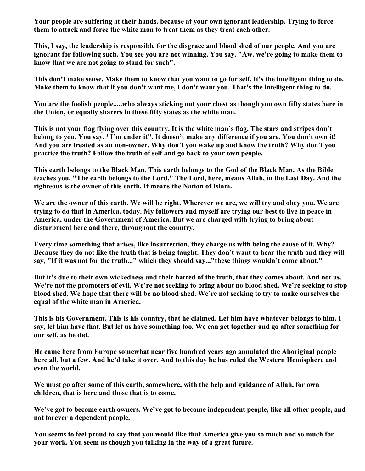**Your people are suffering at their hands, because at your own ignorant leadership. Trying to force them to attack and force the white man to treat them as they treat each other.**

**This, I say, the leadership is responsible for the disgrace and blood shed of our people. And you are ignorant for following such. You see you are not winning. You say, "Aw, we're going to make them to know that we are not going to stand for such".**

**This don't make sense. Make them to know that you want to go for self. It's the intelligent thing to do. Make them to know that if you don't want me, I don't want you. That's the intelligent thing to do.** 

**You are the foolish people.....who always sticking out your chest as though you own fifty states here in the Union, or equally sharers in these fifty states as the white man.**

**This is not your flag flying over this country. It is the white man's flag. The stars and stripes don't belong to you. You say, "I'm under it". It doesn't make any difference if you are. You don't own it! And you are treated as an non-owner. Why don't you wake up and know the truth? Why don't you practice the truth? Follow the truth of self and go back to your own people.** 

**This earth belongs to the Black Man. This earth belongs to the God of the Black Man. As the Bible teaches you, "The earth belongs to the Lord." The Lord, here, means Allah, in the Last Day. And the righteous is the owner of this earth. It means the Nation of Islam.** 

**We are the owner of this earth. We will be right. Wherever we are, we will try and obey you. We are trying to do that in America, today. My followers and myself are trying our best to live in peace in America, under the Government of America. But we are charged with trying to bring about disturbment here and there, throughout the country.** 

**Every time something that arises, like insurrection, they charge us with being the cause of it. Why? Because they do not like the truth that is being taught. They don't want to hear the truth and they will say, "If it was not for the truth..." which they should say..."these things wouldn't come about."**

**But it's due to their own wickedness and their hatred of the truth, that they comes about. And not us. We're not the promoters of evil. We're not seeking to bring about no blood shed. We're seeking to stop blood shed. We hope that there will be no blood shed. We're not seeking to try to make ourselves the equal of the white man in America.** 

**This is his Government. This is his country, that he claimed. Let him have whatever belongs to him. I say, let him have that. But let us have something too. We can get together and go after something for our self, as he did.** 

**He came here from Europe somewhat near five hundred years ago annulated the Aboriginal people here all, but a few. And he'd take it over. And to this day he has ruled the Western Hemisphere and even the world.** 

**We must go after some of this earth, somewhere, with the help and guidance of Allah, for own children, that is here and those that is to come.**

**We've got to become earth owners. We've got to become independent people, like all other people, and not forever a dependent people.** 

**You seems to feel proud to say that you would like that America give you so much and so much for your work. You seem as though you talking in the way of a great future.**